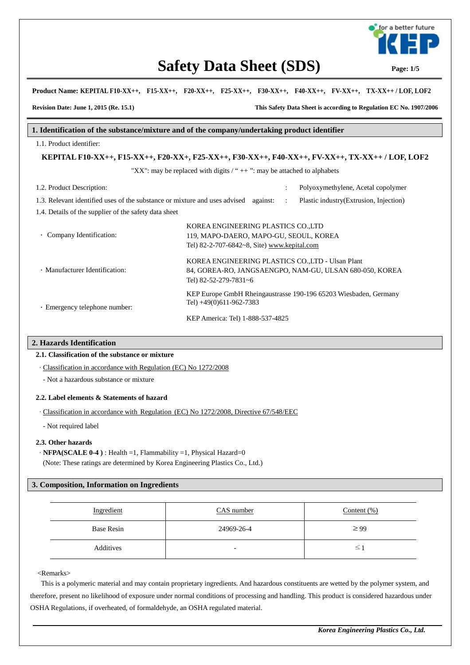

# **Safety Data Sheet (SDS)** Page: 1/5

**Product Name: KEPITAL F10-XX++, F15-XX++, F20-XX++, F25-XX++, F30-XX++, F40-XX++, FV-XX++, TX-XX++ / LOF, LOF2**

**Revision Date: June 1, 2015 (Re. 15.1) This Safety Data Sheet is according to Regulation EC No. 1907/2006**

### **1. Identification of the substance/mixture and of the company/undertaking product identifier**

#### 1.1. Product identifier:

**KEPITAL F10-XX++, F15-XX++, F20-XX+, F25-XX++, F30-XX++, F40-XX++, FV-XX++, TX-XX++ / LOF, LOF2** 

"XX": may be replaced with digits  $/$  " $+$  ": may be attached to alphabets

| 1.2. Product Description:                                                  | Polyoxymethylene, Acetal copolymer<br>$\bullet$                                                                                       |  |  |  |  |  |  |
|----------------------------------------------------------------------------|---------------------------------------------------------------------------------------------------------------------------------------|--|--|--|--|--|--|
| 1.3. Relevant identified uses of the substance or mixture and uses advised | Plastic industry (Extrusion, Injection)<br>against:<br>$\ddot{\cdot}$                                                                 |  |  |  |  |  |  |
| 1.4. Details of the supplier of the safety data sheet                      |                                                                                                                                       |  |  |  |  |  |  |
| • Company Identification:                                                  | KOREA ENGINEERING PLASTICS CO.,LTD<br>119, MAPO-DAERO, MAPO-GU, SEOUL, KOREA<br>Tel) 82-2-707-6842~8, Site) www.kepital.com           |  |  |  |  |  |  |
| · Manufacturer Identification:                                             | KOREA ENGINEERING PLASTICS CO., LTD - Ulsan Plant<br>84, GOREA-RO, JANGSAENGPO, NAM-GU, ULSAN 680-050, KOREA<br>Tel) 82-52-279-7831~6 |  |  |  |  |  |  |
| · Emergency telephone number:                                              | KEP Europe GmbH Rheingaustrasse 190-196 65203 Wiesbaden, Germany<br>Tel) +49(0)611-962-7383                                           |  |  |  |  |  |  |
|                                                                            | KEP America: Tel) 1-888-537-4825                                                                                                      |  |  |  |  |  |  |

#### **2. Hazards Identification**

#### **2.1. Classification of the substance or mixture**

· Classification in accordance with Regulation (EC) No 1272/2008

- Not a hazardous substance or mixture

#### **2.2. Label elements & Statements of hazard**

· Classification in accordance with Regulation (EC) No 1272/2008, Directive 67/548/EEC

- Not required label

#### **2.3. Other hazards**

· **NFPA(SCALE 0-4 )** : Health =1, Flammability =1, Physical Hazard=0

(Note: These ratings are determined by Korea Engineering Plastics Co., Ltd.)

#### **3. Composition, Information on Ingredients**

| Ingredient        | CAS number               | Content $(\%)$ |
|-------------------|--------------------------|----------------|
| <b>Base Resin</b> | 24969-26-4               | $\geq$ 99      |
| Additives         | $\overline{\phantom{0}}$ | $\leq$ '       |

<Remarks>

 This is a polymeric material and may contain proprietary ingredients. And hazardous constituents are wetted by the polymer system, and therefore, present no likelihood of exposure under normal conditions of processing and handling. This product is considered hazardous under OSHA Regulations, if overheated, of formaldehyde, an OSHA regulated material.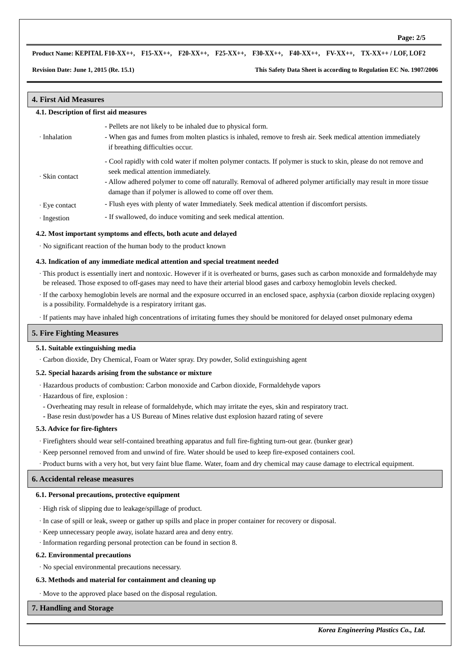#### **Product Name: KEPITAL F10-XX++, F15-XX++, F20-XX++, F25-XX++, F30-XX++, F40-XX++, FV-XX++, TX-XX++ / LOF, LOF2**

**Revision Date: June 1, 2015 (Re. 15.1) This Safety Data Sheet is according to Regulation EC No. 1907/2006**

#### **4. First Aid Measures**

#### **4.1. Description of first aid measures**

|  | - Pellets are not likely to be inhaled due to physical form. |  |
|--|--------------------------------------------------------------|--|
|--|--------------------------------------------------------------|--|

- · Inhalation - When gas and fumes from molten plastics is inhaled, remove to fresh air. Seek medical attention immediately if breathing difficulties occur.
	- Cool rapidly with cold water if molten polymer contacts. If polymer is stuck to skin, please do not remove and seek medical attention immediately.
- · Skin contact - Allow adhered polymer to come off naturally. Removal of adhered polymer artificially may result in more tissue damage than if polymer is allowed to come off over them.
- · Eye contact Flush eyes with plenty of water Immediately. Seek medical attention if discomfort persists.
- · Ingestion If swallowed, do induce vomiting and seek medical attention.

#### **4.2. Most important symptoms and effects, both acute and delayed**

· No significant reaction of the human body to the product known

#### **4.3. Indication of any immediate medical attention and special treatment needed**

 · This product is essentially inert and nontoxic. However if it is overheated or burns, gases such as carbon monoxide and formaldehyde may be released. Those exposed to off-gases may need to have their arterial blood gases and carboxy hemoglobin levels checked.

- · If the carboxy hemoglobin levels are normal and the exposure occurred in an enclosed space, asphyxia (carbon dioxide replacing oxygen) is a possibility. Formaldehyde is a respiratory irritant gas.
- · If patients may have inhaled high concentrations of irritating fumes they should be monitored for delayed onset pulmonary edema

#### **5. Fire Fighting Measures**

#### **5.1. Suitable extinguishing media**

· Carbon dioxide, Dry Chemical, Foam or Water spray. Dry powder, Solid extinguishing agent

#### **5.2. Special hazards arising from the substance or mixture**

- · Hazardous products of combustion: Carbon monoxide and Carbon dioxide, Formaldehyde vapors
- · Hazardous of fire, explosion :
- Overheating may result in release of formaldehyde, which may irritate the eyes, skin and respiratory tract.
- Base resin dust/powder has a US Bureau of Mines relative dust explosion hazard rating of severe

#### **5.3. Advice for fire-fighters**

- · Firefighters should wear self-contained breathing apparatus and full fire-fighting turn-out gear. (bunker gear)
- · Keep personnel removed from and unwind of fire. Water should be used to keep fire-exposed containers cool.

· Product burns with a very hot, but very faint blue flame. Water, foam and dry chemical may cause damage to electrical equipment.

#### **6. Accidental release measures**

#### **6.1. Personal precautions, protective equipment**

- · High risk of slipping due to leakage/spillage of product.
- · In case of spill or leak, sweep or gather up spills and place in proper container for recovery or disposal.
- · Keep unnecessary people away, isolate hazard area and deny entry.
- · Information regarding personal protection can be found in section 8.

#### **6.2. Environmental precautions**

· No special environmental precautions necessary.

#### **6.3. Methods and material for containment and cleaning up**

· Move to the approved place based on the disposal regulation.

#### **7. Handling and Storage**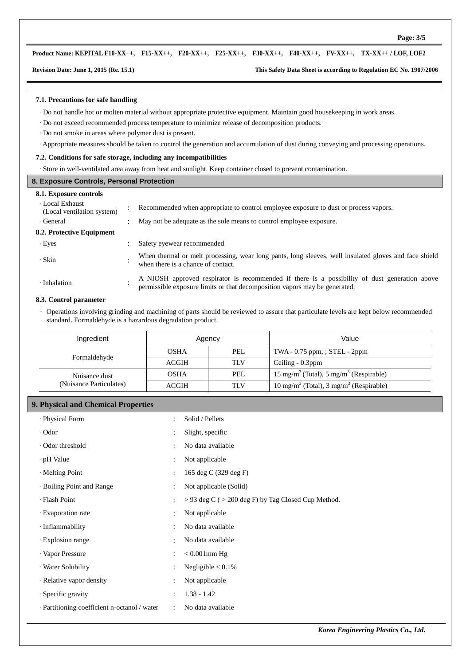#### **Product Name: KEPITAL F10-XX++, F15-XX++, F20-XX++, F25-XX++, F30-XX++, F40-XX++, FV-XX++, TX-XX++ / LOF, LOF2**

#### **Revision Date: June 1, 2015 (Re. 15.1) This Safety Data Sheet is according to Regulation EC No. 1907/2006**

#### **7.1. Precautions for safe handling**

- · Do not handle hot or molten material without appropriate protective equipment. Maintain good housekeeping in work areas.
- · Do not exceed recommended process temperature to minimize release of decomposition products.
- · Do not smoke in areas where polymer dust is present.
- · Appropriate measures should be taken to control the generation and accumulation of dust during conveying and processing operations.

### **7.2. Conditions for safe storage, including any incompatibilities**

· Store in well-ventilated area away from heat and sunlight. Keep container closed to prevent contamination.

| 8. Exposure Controls, Personal Protection   |  |                                                                                                                                                                             |  |  |  |  |  |
|---------------------------------------------|--|-----------------------------------------------------------------------------------------------------------------------------------------------------------------------------|--|--|--|--|--|
| 8.1. Exposure controls                      |  |                                                                                                                                                                             |  |  |  |  |  |
| Local Exhaust<br>(Local ventilation system) |  | Recommended when appropriate to control employee exposure to dust or process vapors.                                                                                        |  |  |  |  |  |
| $\cdot$ General                             |  | May not be adequate as the sole means to control employee exposure.                                                                                                         |  |  |  |  |  |
| 8.2. Protective Equipment                   |  |                                                                                                                                                                             |  |  |  |  |  |
| $\cdot$ Eyes                                |  | Safety eyewear recommended                                                                                                                                                  |  |  |  |  |  |
| · Skin                                      |  | When thermal or melt processing, wear long pants, long sleeves, well insulated gloves and face shield<br>when there is a chance of contact.                                 |  |  |  |  |  |
| · Inhalation                                |  | A NIOSH approved respirator is recommended if there is a possibility of dust generation above<br>permissible exposure limits or that decomposition vapors may be generated. |  |  |  |  |  |

#### **8.3. Control parameter**

 ∙ Operations involving grinding and machining of parts should be reviewed to assure that particulate levels are kept below recommended standard. Formaldehyde is a hazardous degradation product.

| Ingredient              |              | Agency     | Value                                                        |  |  |
|-------------------------|--------------|------------|--------------------------------------------------------------|--|--|
|                         | <b>OSHA</b>  | PEL        | TWA $-0.75$ ppm, ; STEL $-2$ ppm                             |  |  |
| Formaldehyde            | <b>ACGIH</b> | <b>TLV</b> | Ceiling $-0.3$ ppm                                           |  |  |
| Nuisance dust           | OSHA         | PEL        | $15 \text{ mg/m}^3$ (Total), $5 \text{ mg/m}^3$ (Respirable) |  |  |
| (Nuisance Particulates) | <b>ACGIH</b> | <b>TLV</b> | $10 \text{ mg/m}^3$ (Total), $3 \text{ mg/m}^3$ (Respirable) |  |  |

#### **9. Physical and Chemical Properties**

| · Physical Form                              | $\bullet$            | Solid / Pellets                                         |
|----------------------------------------------|----------------------|---------------------------------------------------------|
| $\cdot$ Odor                                 | $\bullet$            | Slight, specific                                        |
| · Odor threshold                             | $\bullet$            | No data available                                       |
| ∙ pH Value                                   | $\ddot{\cdot}$       | Not applicable                                          |
| · Melting Point                              | $\bullet$            | 165 deg C (329 deg F)                                   |
| · Boiling Point and Range                    | $\ddot{\phantom{a}}$ | Not applicable (Solid)                                  |
| · Flash Point                                | $\ddot{\phantom{a}}$ | $>$ 93 deg C ( $>$ 200 deg F) by Tag Closed Cup Method. |
| · Evaporation rate                           | $\ddot{\phantom{a}}$ | Not applicable                                          |
| $\cdot$ Inflammability                       | $\bullet$            | No data available                                       |
| · Explosion range                            | $\bullet$            | No data available                                       |
| · Vapor Pressure                             | $\ddot{\cdot}$       | $< 0.001$ mm Hg                                         |
| · Water Solubility                           | $\bullet$            | Negligible $< 0.1\%$                                    |
| · Relative vapor density                     | $\bullet$            | Not applicable                                          |
| · Specific gravity                           | $\bullet$            | $1.38 - 1.42$                                           |
| · Partitioning coefficient n-octanol / water | $\ddot{\phantom{a}}$ | No data available                                       |
|                                              |                      |                                                         |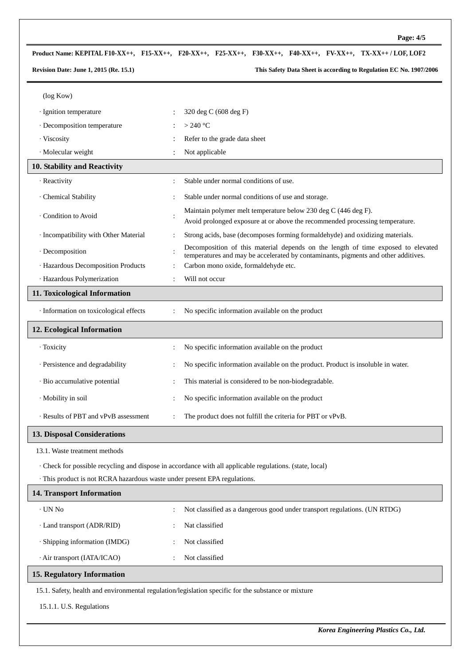# **Product Name: KEPITAL F10-XX++, F15-XX++, F20-XX++, F25-XX++, F30-XX++, F40-XX++, FV-XX++, TX-XX++ / LOF, LOF2**

**Revision Date: June 1, 2015 (Re. 15.1) This Safety Data Sheet is according to Regulation EC No. 1907/2006**

| (log Kow)                                                                 |                                                                                                                                                                        |
|---------------------------------------------------------------------------|------------------------------------------------------------------------------------------------------------------------------------------------------------------------|
| · Ignition temperature                                                    | 320 deg C (608 deg F)                                                                                                                                                  |
| · Decomposition temperature                                               | $>240$ °C                                                                                                                                                              |
| · Viscosity                                                               | Refer to the grade data sheet                                                                                                                                          |
| · Molecular weight                                                        | Not applicable                                                                                                                                                         |
| 10. Stability and Reactivity                                              |                                                                                                                                                                        |
| · Reactivity                                                              | Stable under normal conditions of use.                                                                                                                                 |
| · Chemical Stability                                                      | Stable under normal conditions of use and storage.                                                                                                                     |
| Condition to Avoid                                                        | Maintain polymer melt temperature below 230 deg C (446 deg F).<br>÷<br>Avoid prolonged exposure at or above the recommended processing temperature.                    |
| · Incompatibility with Other Material                                     | Strong acids, base (decomposes forming formaldehyde) and oxidizing materials.                                                                                          |
| · Decomposition                                                           | Decomposition of this material depends on the length of time exposed to elevated<br>temperatures and may be accelerated by contaminants, pigments and other additives. |
| · Hazardous Decomposition Products<br>· Hazardous Polymerization          | Carbon mono oxide, formaldehyde etc.<br>Will not occur                                                                                                                 |
| 11. Toxicological Information                                             |                                                                                                                                                                        |
|                                                                           |                                                                                                                                                                        |
| · Information on toxicological effects                                    | No specific information available on the product                                                                                                                       |
| 12. Ecological Information                                                |                                                                                                                                                                        |
| · Toxicity                                                                | No specific information available on the product                                                                                                                       |
| · Persistence and degradability                                           | No specific information available on the product. Product is insoluble in water.                                                                                       |
| · Bio accumulative potential                                              | This material is considered to be non-biodegradable.                                                                                                                   |
| · Mobility in soil                                                        | No specific information available on the product                                                                                                                       |
| · Results of PBT and vPvB assessment                                      | The product does not fulfill the criteria for PBT or vPvB.                                                                                                             |
| <b>13. Disposal Considerations</b>                                        |                                                                                                                                                                        |
| 13.1. Waste treatment methods                                             |                                                                                                                                                                        |
|                                                                           | · Check for possible recycling and dispose in accordance with all applicable regulations. (state, local)                                                               |
| · This product is not RCRA hazardous waste under present EPA regulations. |                                                                                                                                                                        |
| 14. Transport Information                                                 |                                                                                                                                                                        |
| $\cdot$ UN No                                                             | Not classified as a dangerous good under transport regulations. (UN RTDG)                                                                                              |
| · Land transport (ADR/RID)                                                | Nat classified                                                                                                                                                         |
| · Shipping information (IMDG)                                             | Not classified                                                                                                                                                         |
| · Air transport (IATA/ICAO)                                               | Not classified                                                                                                                                                         |
| <b>15. Regulatory Information</b>                                         |                                                                                                                                                                        |
|                                                                           | 15.1. Safety, health and environmental regulation/legislation specific for the substance or mixture                                                                    |

15.1.1. U.S. Regulations